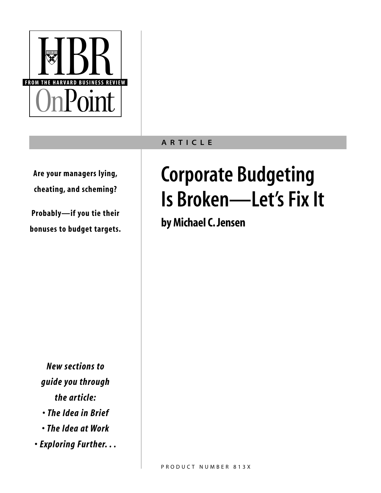

**Are your managers lying, cheating, and scheming?**

**Probably—if you tie their bonuses to budget targets.**

# **ARTICLE**

# **Corporate Budgeting Is Broken—Let's Fix It**

**by Michael C. Jensen**

*New sections to guide you through the article: • The Idea in Brief*

- *The Idea at Work*
- *Exploring Further. . .*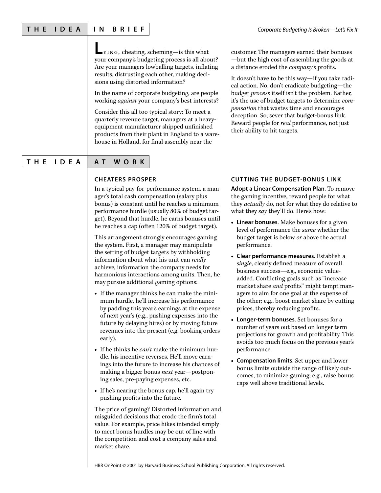#### **THE IDEA IN BRIEF**

**L**ying, cheating, scheming—is this what your company's budgeting process is all about? Are your managers lowballing targets, inflating results, distrusting each other, making decisions using distorted information?

In the name of corporate budgeting, are people working *against* your company's best interests?

Consider this all too typical story: To meet a quarterly revenue target, managers at a heavyequipment manufacturer shipped unfinished products from their plant in England to a warehouse in Holland, for final assembly near the

# **THE IDEA AT WORK**

#### **CHEATERS PROSPER**

In a typical pay-for-performance system, a manager's total cash compensation (salary plus bonus) is constant until he reaches a minimum performance hurdle (usually 80% of budget target). Beyond that hurdle, he earns bonuses until he reaches a cap (often 120% of budget target).

This arrangement strongly encourages gaming the system. First, a manager may manipulate the setting of budget targets by withholding information about what his unit can *really* achieve, information the company needs for harmonious interactions among units. Then, he may pursue additional gaming options:

- **•** If the manager thinks he can make the minimum hurdle, he'll increase his performance by padding this year's earnings at the expense of next year's (e.g., pushing expenses into the future by delaying hires) or by moving future revenues into the present (e.g, booking orders early).
- **•** If he thinks he *can't* make the minimum hurdle, his incentive reverses. He'll move earnings into the future to increase his chances of making a bigger bonus *next* year—postponing sales, pre-paying expenses, etc.
- **•** If he's nearing the bonus cap, he'll again try pushing profits into the future.

The price of gaming? Distorted information and misguided decisions that erode the firm's total value. For example, price hikes intended simply to meet bonus hurdles may be out of line with the competition and cost a company sales and market share.

customer. The managers earned their bonuses —but the high cost of assembling the goods at a distance eroded the *company's* profits.

It doesn't have to be this way—if you take radical action. No, don't eradicate budgeting—the budget *process* itself isn't the problem. Rather, it's the use of budget targets to determine *compensation* that wastes time and encourages deception. So, sever that budget-bonus link. Reward people for *real* performance, not just their ability to hit targets.

#### **CUTTING THE BUDGET-BONUS LINK**

**Adopt a Linear Compensation Plan**. To remove the gaming incentive, reward people for what they *actually* do, not for what they do relative to what they *say* they'll do. Here's how:

- **• Linear bonuses**. Make bonuses for a given level of performance the *same* whether the budget target is below *or* above the actual performance.
- **• Clear performance measures**. Establish a *single*, clearly defined measure of overall business success—e.g., economic valueadded. Conflicting goals such as "increase market share *and* profits" might tempt managers to aim for one goal at the expense of the other; e.g., boost market share by cutting prices, thereby reducing profits.
- **• Longer-term bonuses**. Set bonuses for a number of years out based on longer term projections for growth and profitability. This avoids too much focus on the previous year's performance.
- **• Compensation limits**. Set upper and lower bonus limits outside the range of likely outcomes, to minimize gaming; e.g., raise bonus caps well above traditional levels.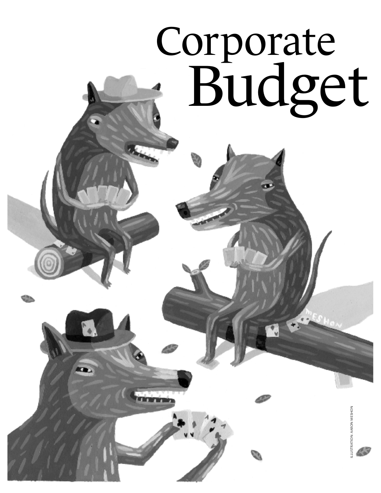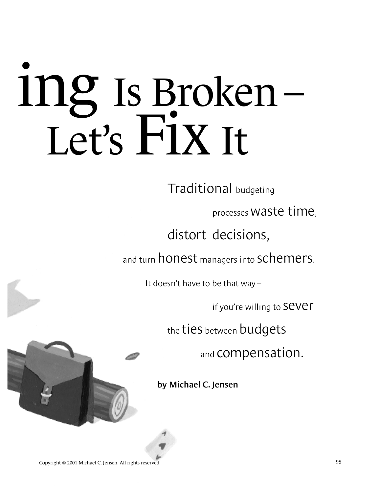# ing Is Broken – Let's Fix It

Traditional budgeting

processes Waste time,

distort decisions,

and turn honest managers into schemers.

It doesn't have to be that way –

if you're willing to SEVEI

the ties between budgets

and compensation.

**by Michael C. Jensen**



Copyright © 2001 Michael C. Jensen. All rights reserved. 95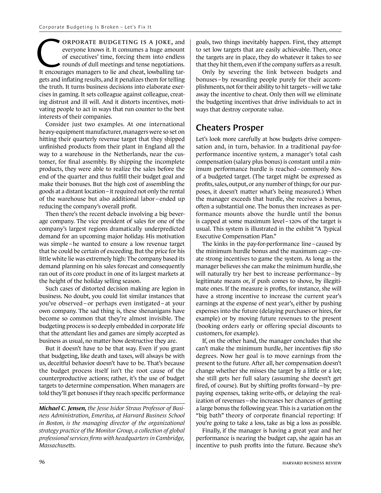orporate budgeting is a joke, and everyone knows it. It consumes a huge amount of executives' time, forcing them into endless rounds of dull meetings and tense negotiations. ORPORATE BUDGETING IS A JOKE, and<br>everyone knows it. It consumes a huge amount<br>of executives' time, forcing them into endless<br>rounds of dull meetings and tense negotiations.<br>It encourages managers to lie and cheat, lowball gets and inflating results, and it penalizes them for telling the truth. It turns business decisions into elaborate exercises in gaming. It sets colleague against colleague, creating distrust and ill will. And it distorts incentives, motivating people to act in ways that run counter to the best interests of their companies.

Consider just two examples. At one international heavy-equipment manufacturer, managers were so set on hitting their quarterly revenue target that they shipped unfinished products from their plant in England all the way to a warehouse in the Netherlands, near the customer, for final assembly. By shipping the incomplete products, they were able to realize the sales before the end of the quarter and thus fulfill their budget goal and make their bonuses. But the high cost of assembling the goods at a distant location – it required not only the rental of the warehouse but also additional labor – ended up reducing the company's overall profit.

Then there's the recent debacle involving a big beverage company. The vice president of sales for one of the company's largest regions dramatically underpredicted demand for an upcoming major holiday. His motivation was simple – he wanted to ensure a low revenue target that he could be certain of exceeding. But the price for his little white lie was extremely high: The company based its demand planning on his sales forecast and consequently ran out of its core product in one of its largest markets at the height of the holiday selling season.

Such cases of distorted decision making are legion in business. No doubt, you could list similar instances that you've observed – or perhaps even instigated – at your own company. The sad thing is, these shenanigans have become so common that they're almost invisible. The budgeting process is so deeply embedded in corporate life that the attendant lies and games are simply accepted as business as usual, no matter how destructive they are.

But it doesn't have to be that way. Even if you grant that budgeting, like death and taxes, will always be with us, deceitful behavior doesn't have to be. That's because the budget process itself isn't the root cause of the counterproductive actions; rather, it's the use of budget targets to determine compensation. When managers are told they'll get bonuses if they reach specific performance

*Michael C. Jensen, the Jesse Isidor Straus Professor of Business Administration, Emeritus, at Harvard Business School in Boston, is the managing director of the organizational strategy practice of the Monitor Group, a collection of global professional services firms with headquarters in Cambridge, Massachusetts.*

goals, two things inevitably happen. First, they attempt to set low targets that are easily achievable. Then, once the targets are in place, they do whatever it takes to see that they hit them, even if the company suffers as a result.

Only by severing the link between budgets and bonuses – by rewarding people purely for their accomplishments, not for their ability to hit targets – will we take away the incentive to cheat. Only then will we eliminate the budgeting incentives that drive individuals to act in ways that destroy corporate value.

# **Cheaters Prosper**

Let's look more carefully at how budgets drive compensation and, in turn, behavior. In a traditional pay-forperformance incentive system, a manager's total cash compensation (salary plus bonus) is constant until a minimum performance hurdle is reached – commonly 80% of a budgeted target. (The target might be expressed as profits, sales, output, or any number of things; for our purposes, it doesn't matter what's being measured.) When the manager exceeds that hurdle, she receives a bonus, often a substantial one. The bonus then increases as performance mounts above the hurdle until the bonus is capped at some maximum level – 120% of the target is usual. This system is illustrated in the exhibit "A Typical Executive Compensation Plan."

The kinks in the pay-for-performance line – caused by the minimum hurdle bonus and the maximum cap – create strong incentives to game the system. As long as the manager believes she can make the minimum hurdle, she will naturally try her best to increase performance-by legitimate means or, if push comes to shove, by illegitimate ones. If the measure is profits, for instance, she will have a strong incentive to increase the current year's earnings at the expense of next year's, either by pushing expenses into the future (delaying purchases or hires, for example) or by moving future revenues to the present (booking orders early or offering special discounts to customers, for example).

If, on the other hand, the manager concludes that she can't make the minimum hurdle, her incentives flip 180 degrees. Now her goal is to move earnings from the present to the future. After all, her compensation doesn't change whether she misses the target by a little or a lot; she still gets her full salary (assuming she doesn't get fired, of course). But by shifting profits forward – by prepaying expenses, taking write-offs, or delaying the realization of revenues – she increases her chances of getting a large bonus the following year. This is a variation on the "big bath" theory of corporate financial reporting: If you're going to take a loss, take as big a loss as possible.

Finally, if the manager is having a great year and her performance is nearing the budget cap, she again has an incentive to push profits into the future. Because she's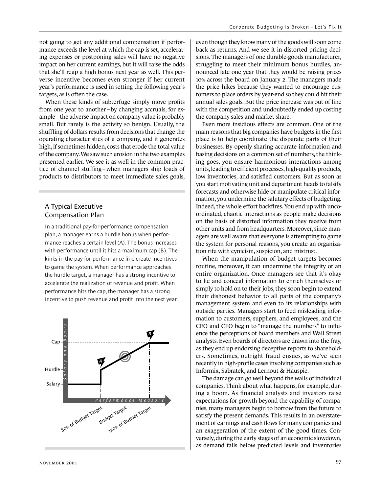not going to get any additional compensation if performance exceeds the level at which the cap is set, accelerating expenses or postponing sales will have no negative impact on her current earnings, but it will raise the odds that she'll reap a high bonus next year as well. This perverse incentive becomes even stronger if her current year's performance is used in setting the following year's targets, as is often the case.

When these kinds of subterfuge simply move profits from one year to another – by changing accruals, for example – the adverse impact on company value is probably small. But rarely is the activity so benign. Usually, the shuffling of dollars results from decisions that change the operating characteristics of a company, and it generates high, if sometimes hidden, costs that erode the total value of the company. We saw such erosion in the two examples presented earlier. We see it as well in the common practice of channel stuffing – when managers ship loads of products to distributors to meet immediate sales goals,

# A Typical Executive Compensation Plan

In a traditional pay-for-performance compensation plan, a manager earns a hurdle bonus when performance reaches a certain level (A). The bonus increases with performance until it hits a maximum cap (B). The kinks in the pay-for-performance line create incentives to game the system. When performance approaches the hurdle target, a manager has a strong incentive to accelerate the realization of revenue and profit. When performance hits the cap, the manager has a strong incentive to push revenue and profit into the next year.



even though they know many of the goods will soon come back as returns. And we see it in distorted pricing decisions. The managers of one durable-goods manufacturer, struggling to meet their minimum bonus hurdles, announced late one year that they would be raising prices 10% across the board on January 2. The managers made the price hikes because they wanted to encourage customers to place orders by year-end so they could hit their annual sales goals. But the price increase was out of line with the competition and undoubtedly ended up costing the company sales and market share.

Even more insidious effects are common. One of the main reasons that big companies have budgets in the first place is to help coordinate the disparate parts of their businesses. By openly sharing accurate information and basing decisions on a common set of numbers, the thinking goes, you ensure harmonious interactions among units, leading to efficient processes, high-quality products, low inventories, and satisfied customers. But as soon as you start motivating unit and department heads to falsify forecasts and otherwise hide or manipulate critical information, you undermine the salutary effects of budgeting. Indeed, the whole effort backfires. You end up with uncoordinated, chaotic interactions as people make decisions on the basis of distorted information they receive from other units and from headquarters. Moreover, since managers are well aware that everyone is attempting to game the system for personal reasons, you create an organization rife with cynicism, suspicion, and mistrust.

When the manipulation of budget targets becomes routine, moreover, it can undermine the integrity of an entire organization. Once managers see that it's okay to lie and conceal information to enrich themselves or simply to hold on to their jobs, they soon begin to extend their dishonest behavior to all parts of the company's management system and even to its relationships with outside parties. Managers start to feed misleading information to customers, suppliers, and employees, and the CEO and CFO begin to "manage the numbers" to influence the perceptions of board members and Wall Street analysts. Even boards of directors are drawn into the fray, as they end up endorsing deceptive reports to shareholders. Sometimes, outright fraud ensues, as we've seen recently in high-profile cases involving companies such as Informix, Sabratek, and Lernout & Hauspie.

The damage can go well beyond the walls of individual companies. Think about what happens, for example, during a boom. As financial analysts and investors raise expectations for growth beyond the capability of companies, many managers begin to borrow from the future to satisfy the present demands. This results in an overstatement of earnings and cash flows for many companies and an exaggeration of the extent of the good times. Conversely, during the early stages of an economic slowdown, as demand falls below predicted levels and inventories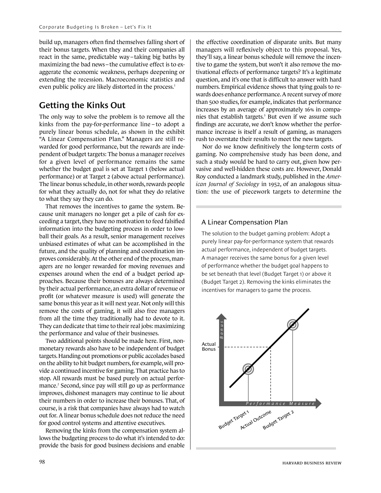build up, managers often find themselves falling short of their bonus targets. When they and their companies all react in the same, predictable way – taking big baths by maximizing the bad news – the cumulative effect is to exaggerate the economic weakness, perhaps deepening or extending the recession. Macroeconomic statistics and even public policy are likely distorted in the process.<sup>1</sup>

# **Getting the Kinks Out**

The only way to solve the problem is to remove all the kinks from the pay-for-performance line – to adopt a purely linear bonus schedule, as shown in the exhibit "A Linear Compensation Plan." Managers are still rewarded for good performance, but the rewards are independent of budget targets: The bonus a manager receives for a given level of performance remains the same whether the budget goal is set at Target 1 (below actual performance) or at Target 2 (above actual performance). The linear bonus schedule, in other words, rewards people for what they actually do, not for what they do relative to what they say they can do.

That removes the incentives to game the system. Because unit managers no longer get a pile of cash for exceeding a target, they have no motivation to feed falsified information into the budgeting process in order to lowball their goals. As a result, senior management receives unbiased estimates of what can be accomplished in the future, and the quality of planning and coordination improves considerably. At the other end of the process, managers are no longer rewarded for moving revenues and expenses around when the end of a budget period approaches. Because their bonuses are always determined by their actual performance, an extra dollar of revenue or profit (or whatever measure is used) will generate the same bonus this year as it will next year. Not only will this remove the costs of gaming, it will also free managers from all the time they traditionally had to devote to it. They can dedicate that time to their real jobs: maximizing the performance and value of their businesses.

Two additional points should be made here. First, nonmonetary rewards also have to be independent of budget targets.Handing out promotions or public accolades based on the ability to hit budget numbers, for example, will provide a continued incentive for gaming.That practice has to stop. All rewards must be based purely on actual performance.<sup>2</sup> Second, since pay will still go up as performance improves, dishonest managers may continue to lie about their numbers in order to increase their bonuses. That, of course, is a risk that companies have always had to watch out for. A linear bonus schedule does not reduce the need for good control systems and attentive executives.

Removing the kinks from the compensation system allows the budgeting process to do what it's intended to do: provide the basis for good business decisions and enable

the effective coordination of disparate units. But many managers will reflexively object to this proposal. Yes, they'll say, a linear bonus schedule will remove the incentive to game the system, but won't it also remove the motivational effects of performance targets? It's a legitimate question, and it's one that is difficult to answer with hard numbers. Empirical evidence shows that tying goals to rewards does enhance performance.A recent survey of more than 500 studies, for example, indicates that performance increases by an average of approximately 16% in companies that establish targets.<sup>3</sup> But even if we assume such findings are accurate, we don't know whether the performance increase is itself a result of gaming, as managers rush to overstate their results to meet the new targets.

Nor do we know definitively the long-term costs of gaming. No comprehensive study has been done, and such a study would be hard to carry out, given how pervasive and well-hidden these costs are. However, Donald Roy conducted a landmark study, published in the *American Journal of Sociology* in 1952, of an analogous situation: the use of piecework targets to determine the

### A Linear Compensation Plan

The solution to the budget gaming problem: Adopt a purely linear pay-for-performance system that rewards actual performance, independent of budget targets. A manager receives the same bonus for a given level of performance whether the budget goal happens to be set beneath that level (Budget Target 1) or above it (Budget Target 2). Removing the kinks eliminates the incentives for managers to game the process.

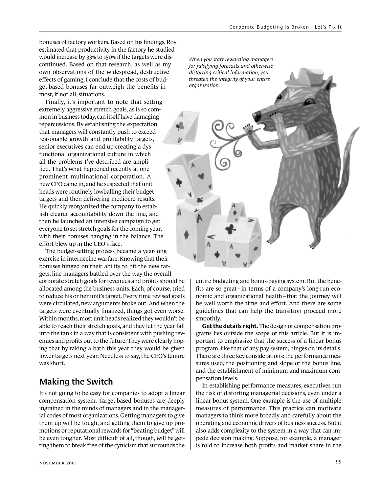bonuses of factory workers. Based on his findings, Roy estimated that productivity in the factory he studied would increase by 33% to 150% if the targets were discontinued. Based on that research, as well as my own observations of the widespread, destructive effects of gaming, I conclude that the costs of budget-based bonuses far outweigh the benefits in most, if not all, situations.

Finally, it's important to note that setting extremely aggressive stretch goals, as is so common in business today, can itself have damaging repercussions. By establishing the expectation that managers will constantly push to exceed reasonable growth and profitability targets, senior executives can end up creating a dysfunctional organizational culture in which all the problems I've described are amplified. That's what happened recently at one prominent multinational corporation. A new CEO came in, and he suspected that unit heads were routinely lowballing their budget targets and then delivering mediocre results. He quickly reorganized the company to establish clearer accountability down the line, and then he launched an intensive campaign to get everyone to set stretch goals for the coming year, with their bonuses hanging in the balance. The effort blew up in the CEO's face.

The budget-setting process became a year-long exercise in internecine warfare. Knowing that their bonuses hinged on their ability to hit the new targets, line managers battled over the way the overall corporate stretch goals for revenues and profits should be allocated among the business units. Each, of course, tried to reduce his or her unit's target. Every time revised goals were circulated, new arguments broke out. And when the targets were eventually finalized, things got even worse. Within months, most unit heads realized they wouldn't be able to reach their stretch goals, and they let the year fall into the tank in a way that is consistent with pushing revenues and profits out to the future. They were clearly hoping that by taking a bath this year they would be given lower targets next year. Needless to say, the CEO's tenure was short.

# **Making the Switch**

It's not going to be easy for companies to adopt a linear compensation system. Target-based bonuses are deeply ingrained in the minds of managers and in the managerial codes of most organizations. Getting managers to give them up will be tough, and getting them to give up promotions or reputational rewards for "beating budget"will be even tougher. Most difficult of all, though, will be getting them to break free of the cynicism that surrounds the



entire budgeting and bonus-paying system. But the benefits are so great – in terms of a company's long-run economic and organizational health – that the journey will be well worth the time and effort. And there are some guidelines that can help the transition proceed more smoothly.

**Get the details right.** The design of compensation programs lies outside the scope of this article. But it is important to emphasize that the success of a linear bonus program, like that of any pay system, hinges on its details. There are three key considerations: the performance measures used, the positioning and slope of the bonus line, and the establishment of minimum and maximum compensation levels.

In establishing performance measures, executives run the risk of distorting managerial decisions, even under a linear bonus system. One example is the use of multiple measures of performance. This practice can motivate managers to think more broadly and carefully about the operating and economic drivers of business success. But it also adds complexity to the system in a way that can impede decision making. Suppose, for example, a manager is told to increase both profits and market share in the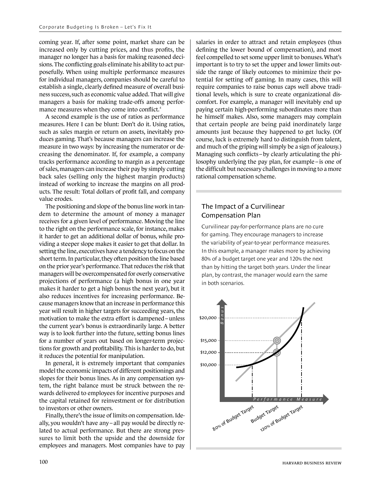coming year. If, after some point, market share can be increased only by cutting prices, and thus profits, the manager no longer has a basis for making reasoned decisions. The conflicting goals eliminate his ability to act purposefully. When using multiple performance measures for individual managers, companies should be careful to establish a single, clearly defined measure of overall business success, such as economic value added. That will give managers a basis for making trade-offs among performance measures when they come into conflict.<sup>4</sup>

A second example is the use of ratios as performance measures. Here I can be blunt: Don't do it. Using ratios, such as sales margin or return on assets, inevitably produces gaming. That's because managers can increase the measure in two ways: by increasing the numerator or decreasing the denominator. If, for example, a company tracks performance according to margin as a percentage of sales, managers can increase their pay by simply cutting back sales (selling only the highest margin products) instead of working to increase the margins on all products. The result: Total dollars of profit fall, and company value erodes.

The positioning and slope of the bonus line work in tandem to determine the amount of money a manager receives for a given level of performance. Moving the line to the right on the performance scale, for instance, makes it harder to get an additional dollar of bonus, while providing a steeper slope makes it easier to get that dollar. In setting the line, executives have a tendency to focus on the short term. In particular, they often position the line based on the prior year's performance. That reduces the risk that managers will be overcompensated for overly conservative projections of performance (a high bonus in one year makes it harder to get a high bonus the next year), but it also reduces incentives for increasing performance. Because managers know that an increase in performance this year will result in higher targets for succeeding years, the motivation to make the extra effort is dampened – unless the current year's bonus is extraordinarily large. A better way is to look further into the future, setting bonus lines for a number of years out based on longer-term projections for growth and profitability. This is harder to do, but it reduces the potential for manipulation.

In general, it is extremely important that companies model the economic impacts of different positionings and slopes for their bonus lines. As in any compensation system, the right balance must be struck between the rewards delivered to employees for incentive purposes and the capital retained for reinvestment or for distribution to investors or other owners.

Finally, there's the issue of limits on compensation. Ideally, you wouldn't have any – all pay would be directly related to actual performance. But there are strong pressures to limit both the upside and the downside for employees and managers. Most companies have to pay

salaries in order to attract and retain employees (thus defining the lower bound of compensation), and most feel compelled to set some upper limit to bonuses. What's important is to try to set the upper and lower limits outside the range of likely outcomes to minimize their potential for setting off gaming. In many cases, this will require companies to raise bonus caps well above traditional levels, which is sure to create organizational discomfort. For example, a manager will inevitably end up paying certain high-performing subordinates more than he himself makes. Also, some managers may complain that certain people are being paid inordinately large amounts just because they happened to get lucky. (Of course, luck is extremely hard to distinguish from talent, and much of the griping will simply be a sign of jealousy.) Managing such conflicts – by clearly articulating the philosophy underlying the pay plan, for example – is one of the difficult but necessary challenges in moving to a more rational compensation scheme.

# The Impact of a Curvilinear Compensation Plan

Curvilinear pay-for-performance plans are no cure for gaming. They encourage managers to increase the variability of year-to-year performance measures. In this example, a manager makes more by achieving 80% of a budget target one year and 120% the next than by hitting the target both years. Under the linear plan, by contrast, the manager would earn the same in both scenarios.

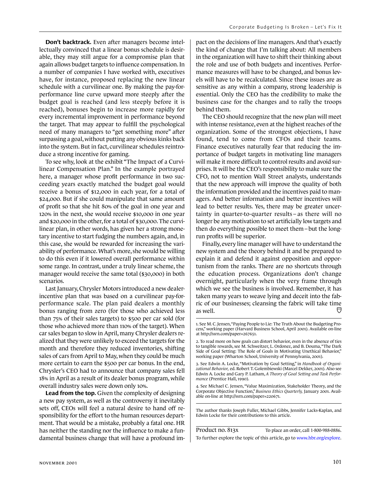**Don't backtrack.** Even after managers become intellectually convinced that a linear bonus schedule is desirable, they may still argue for a compromise plan that again allows budget targets to influence compensation. In a number of companies I have worked with, executives have, for instance, proposed replacing the new linear schedule with a curvilinear one. By making the pay-forperformance line curve upward more steeply after the budget goal is reached (and less steeply before it is reached), bonuses begin to increase more rapidly for every incremental improvement in performance beyond the target. That may appear to fulfill the psychological need of many managers to "get something more" after surpassing a goal, without putting any obvious kinks back into the system. But in fact, curvilinear schedules reintroduce a strong incentive for gaming.

To see why, look at the exhibit "The Impact of a Curvilinear Compensation Plan." In the example portrayed here, a manager whose profit performance in two succeeding years exactly matched the budget goal would receive a bonus of \$12,000 in each year, for a total of \$24,000. But if she could manipulate that same amount of profit so that she hit 80% of the goal in one year and 120% in the next, she would receive \$10,000 in one year and \$20,000 in the other, for a total of \$30,000. The curvilinear plan, in other words, has given her a strong monetary incentive to start fudging the numbers again, and, in this case, she would be rewarded for increasing the variability of performance. What's more, she would be willing to do this even if it lowered overall performance within some range. In contrast, under a truly linear scheme, the manager would receive the same total (\$30,000) in both scenarios.

Last January, Chrysler Motors introduced a new dealerincentive plan that was based on a curvilinear pay-forperformance scale. The plan paid dealers a monthly bonus ranging from zero (for those who achieved less than 75% of their sales targets) to \$500 per car sold (for those who achieved more than 110% of the target). When car sales began to slow in April, many Chrysler dealers realized that they were unlikely to exceed the targets for the month and therefore they reduced inventories, shifting sales of cars from April to May, when they could be much more certain to earn the \$500 per car bonus. In the end, Chrysler's CEO had to announce that company sales fell 18% in April as a result of its dealer bonus program, while overall industry sales were down only 10%.

**Lead from the top.** Given the complexity of designing a new pay system, as well as the controversy it inevitably sets off, CEOs will feel a natural desire to hand off responsibility for the effort to the human resources department. That would be a mistake, probably a fatal one. HR has neither the standing nor the influence to make a fundamental business change that will have a profound impact on the decisions of line managers. And that's exactly the kind of change that I'm talking about: All members in the organization will have to shift their thinking about the role and use of both budgets and incentives. Performance measures will have to be changed, and bonus levels will have to be recalculated. Since these issues are as sensitive as any within a company, strong leadership is essential. Only the CEO has the credibility to make the business case for the changes and to rally the troops behind them.

The CEO should recognize that the new plan will meet with intense resistance, even at the highest reaches of the organization. Some of the strongest objections, I have found, tend to come from CFOs and their teams. Finance executives naturally fear that reducing the importance of budget targets in motivating line managers will make it more difficult to control results and avoid surprises. It will be the CEO's responsibility to make sure the CFO, not to mention Wall Street analysts, understands that the new approach will improve the quality of both the information provided and the incentives paid to managers. And better information and better incentives will lead to better results. Yes, there may be greater uncertainty in quarter-to-quarter results – as there will no longer be any motivation to set artificially low targets and then do everything possible to meet them – but the longrun profits will be superior.

Finally, every line manager will have to understand the new system and the theory behind it and be prepared to explain it and defend it against opposition and opportunism from the ranks. There are no shortcuts through the education process. Organizations don't change overnight, particularly when the very frame through which we see the business is involved. Remember, it has taken many years to weave lying and deceit into the fabric of our businesses; cleansing the fabric will take time A as well.

2. To read more on how goals can distort behavior, even in the absence of ties to tangible rewards, see M. Schweitzer, L. Ordonez, and B. Douma,"The Dark Side of Goal Setting: The Role of Goals in Motivating Unethical Behavior," working paper (Wharton School, University of Pennsylvania, 2001).

3. See Edwin A. Locke, "Motivation by Goal Setting," in *Handbook of Organizational Behavior,* ed. Robert T. Golembiewski (Marcel Dekker, 2001). Also see Edwin A. Locke and Gary P. Latham, *A Theory of Goal Setting and Task Performance* (Prentice Hall, 1990).

4. See Michael C. Jensen, "Value Maximization, Stakeholder Theory, and the Corporate Objective Function," *Business Ethics Quarterly,* January 2001. Available on-line at http://ssrn.com/paper=220671.

The author thanks Joseph Fuller, Michael Gibbs, Jennifer Lacks-Kaplan, and Edwin Locke for their contributions to this article.

Product no. 813x To place an order, call 1-800-988-0886. To further explore the topic of this article, go to [www.hbr.org/explore.](http://www.hbr.org/explore)

<sup>1.</sup> See M. C. Jensen,"Paying People to Lie: The Truth About the Budgeting Process," working paper (Harvard Business School, April 2001). Available on-line at http://ssrn.com/paper=267651.